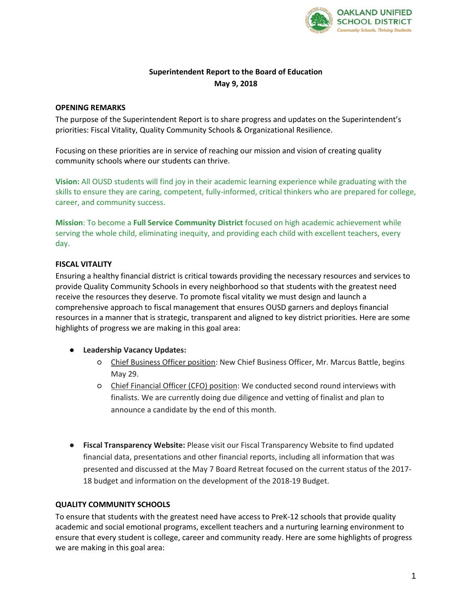

# **Superintendent Report to the Board of Education May 9, 2018**

## **OPENING REMARKS**

The purpose of the Superintendent Report is to share progress and updates on the Superintendent's priorities: Fiscal Vitality, Quality Community Schools & Organizational Resilience.

Focusing on these priorities are in service of reaching our mission and vision of creating quality community schools where our students can thrive.

**Vision:** All OUSD students will find joy in their academic learning experience while graduating with the skills to ensure they are caring, competent, fully-informed, critical thinkers who are prepared for college, career, and community success.

**Mission**: To become a **Full Service Community District** focused on high academic achievement while serving the whole child, eliminating inequity, and providing each child with excellent teachers, every day.

# **FISCAL VITALITY**

Ensuring a healthy financial district is critical towards providing the necessary resources and services to provide Quality Community Schools in every neighborhood so that students with the greatest need receive the resources they deserve. To promote fiscal vitality we must design and launch a comprehensive approach to fiscal management that ensures OUSD garners and deploys financial resources in a manner that is strategic, transparent and aligned to key district priorities. Here are some highlights of progress we are making in this goal area:

### ● **Leadership Vacancy Updates:**

- Chief Business Officer position: New Chief Business Officer, Mr. Marcus Battle, begins May 29.
- Chief Financial Officer (CFO) position: We conducted second round interviews with finalists. We are currently doing due diligence and vetting of finalist and plan to announce a candidate by the end of this month.
- **Fiscal Transparency Website:** Please visit our Fiscal Transparency Website to find updated financial data, presentations and other financial reports, including all information that was presented and discussed at the May 7 Board Retreat focused on the current status of the 2017- 18 budget and information on the development of the 2018-19 Budget.

### **QUALITY COMMUNITY SCHOOLS**

To ensure that students with the greatest need have access to PreK-12 schools that provide quality academic and social emotional programs, excellent teachers and a nurturing learning environment to ensure that every student is college, career and community ready. Here are some highlights of progress we are making in this goal area: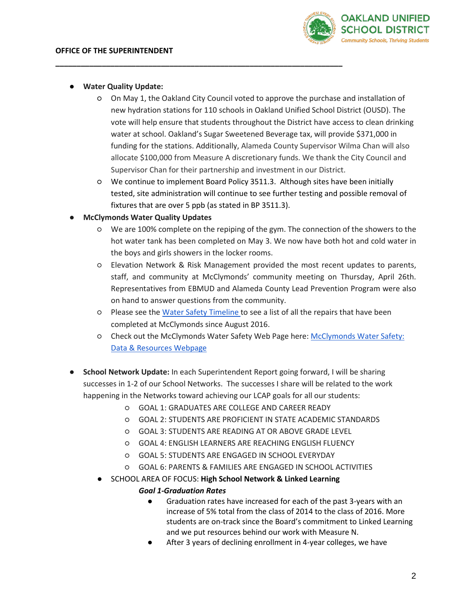

#### ● **Water Quality Update:**

○ On May 1, the Oakland City Council voted to approve the purchase and installation of new hydration stations for 110 schools in Oakland Unified School District (OUSD). The vote will help ensure that students throughout the District have access to clean drinking water at school. Oakland's Sugar Sweetened Beverage tax, will provide \$371,000 in funding for the stations. Additionally, Alameda County Supervisor Wilma Chan will also allocate \$100,000 from Measure A discretionary funds. We thank the City Council and Supervisor Chan for their partnership and investment in our District.

**\_\_\_\_\_\_\_\_\_\_\_\_\_\_\_\_\_\_\_\_\_\_\_\_\_\_\_\_\_\_\_\_\_\_\_\_\_\_\_\_\_\_\_\_\_\_\_\_\_\_\_\_\_\_\_\_\_\_\_\_\_\_\_\_\_\_\_\_**

○ We continue to implement Board Policy 3511.3. Although sites have been initially tested, site administration will continue to see further testing and possible removal of fixtures that are over 5 ppb (as stated in BP 3511.3).

### **McClymonds Water Quality Updates**

- We are 100% complete on the repiping of the gym. The connection of the showers to the hot water tank has been completed on May 3. We now have both hot and cold water in the boys and girls showers in the locker rooms.
- Elevation Network & Risk Management provided the most recent updates to parents, staff, and community at McClymonds' community meeting on Thursday, April 26th. Representatives from EBMUD and Alameda County Lead Prevention Program were also on hand to answer questions from the community.
- Please see the [Water Safety Timeline t](https://docs.google.com/document/d/1wZUj-5px8X8hGJ_ANc4z-PBhYQjFC2qc0_9SaX0hJp8/edit?usp=sharing)o see a list of all the repairs that have been completed at McClymonds since August 2016.
- Check out the McClymonds Water Safety Web Page here: [McClymonds Water Safety:](https://docs.google.com/document/d/1wZUj-5px8X8hGJ_ANc4z-PBhYQjFC2qc0_9SaX0hJp8/edit?usp=sharing)  [Data & Resources Webpage](https://docs.google.com/document/d/1wZUj-5px8X8hGJ_ANc4z-PBhYQjFC2qc0_9SaX0hJp8/edit?usp=sharing)
- **School Network Update:** In each Superintendent Report going forward, I will be sharing successes in 1-2 of our School Networks. The successes I share will be related to the work happening in the Networks toward achieving our LCAP goals for all our students:
	- GOAL 1: GRADUATES ARE COLLEGE AND CAREER READY
	- GOAL 2: STUDENTS ARE PROFICIENT IN STATE ACADEMIC STANDARDS
	- GOAL 3: STUDENTS ARE READING AT OR ABOVE GRADE LEVEL
	- GOAL 4: ENGLISH LEARNERS ARE REACHING ENGLISH FLUENCY
	- GOAL 5: STUDENTS ARE ENGAGED IN SCHOOL EVERYDAY
	- GOAL 6: PARENTS & FAMILIES ARE ENGAGED IN SCHOOL ACTIVITIES
	- SCHOOL AREA OF FOCUS: **High School Network & Linked Learning**

### *Goal 1-Graduation Rates*

- Graduation rates have increased for each of the past 3-years with an increase of 5% total from the class of 2014 to the class of 2016. More students are on-track since the Board's commitment to Linked Learning and we put resources behind our work with Measure N.
- After 3 years of declining enrollment in 4-year colleges, we have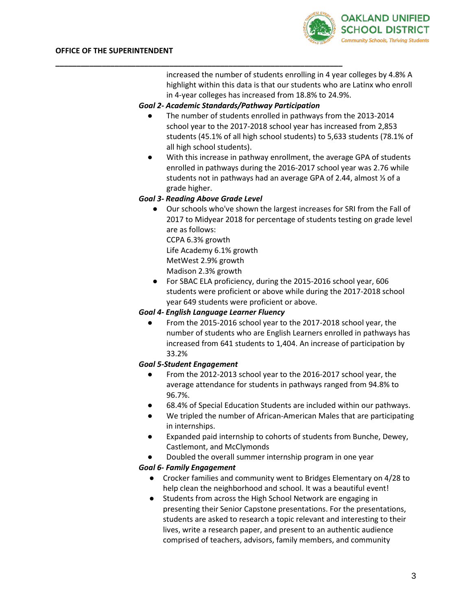

increased the number of students enrolling in 4 year colleges by 4.8% A highlight within this data is that our students who are Latinx who enroll in 4-year colleges has increased from 18.8% to 24.9%.

# *Goal 2- Academic Standards/Pathway Participation*

- The number of students enrolled in pathways from the 2013-2014 school year to the 2017-2018 school year has increased from 2,853 students (45.1% of all high school students) to 5,633 students (78.1% of all high school students).
- With this increase in pathway enrollment, the average GPA of students enrolled in pathways during the 2016-2017 school year was 2.76 while students not in pathways had an average GPA of 2.44, almost ⅓ of a grade higher.

### *Goal 3- Reading Above Grade Level*

**\_\_\_\_\_\_\_\_\_\_\_\_\_\_\_\_\_\_\_\_\_\_\_\_\_\_\_\_\_\_\_\_\_\_\_\_\_\_\_\_\_\_\_\_\_\_\_\_\_\_\_\_\_\_\_\_\_\_\_\_\_\_\_\_\_\_\_\_**

● Our schools who've shown the largest increases for SRI from the Fall of 2017 to Midyear 2018 for percentage of students testing on grade level are as follows:

CCPA 6.3% growth

Life Academy 6.1% growth

MetWest 2.9% growth

Madison 2.3% growth

● For SBAC ELA proficiency, during the 2015-2016 school year, 606 students were proficient or above while during the 2017-2018 school year 649 students were proficient or above.

# *Goal 4- English Language Learner Fluency*

● From the 2015-2016 school year to the 2017-2018 school year, the number of students who are English Learners enrolled in pathways has increased from 641 students to 1,404. An increase of participation by 33.2%

# *Goal 5-Student Engagement*

- From the 2012-2013 school year to the 2016-2017 school year, the average attendance for students in pathways ranged from 94.8% to 96.7%.
- 68.4% of Special Education Students are included within our pathways.
- We tripled the number of African-American Males that are participating in internships.
- Expanded paid internship to cohorts of students from Bunche, Dewey, Castlemont, and McClymonds
- Doubled the overall summer internship program in one year

# *Goal 6- Family Engagement*

- Crocker families and community went to Bridges Elementary on 4/28 to help clean the neighborhood and school. It was a beautiful event!
- Students from across the High School Network are engaging in presenting their Senior Capstone presentations. For the presentations, students are asked to research a topic relevant and interesting to their lives, write a research paper, and present to an authentic audience comprised of teachers, advisors, family members, and community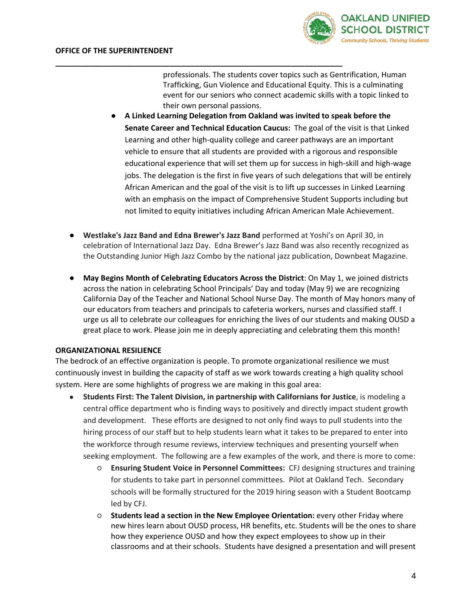

professionals. The students cover topics such as Gentrification, Human Trafficking, Gun Violence and Educational Equity. This is a culminating event for our seniors who connect academic skills with a topic linked to their own personal passions.

- **A Linked Learning Delegation from Oakland was invited to speak before the Senate Career and Technical Education Caucus:** The goal of the visit is that Linked Learning and other high-quality college and career pathways are an important vehicle to ensure that all students are provided with a rigorous and responsible educational experience that will set them up for success in high-skill and high-wage jobs. The delegation is the first in five years of such delegations that will be entirely African American and the goal of the visit is to lift up successes in Linked Learning with an emphasis on the impact of Comprehensive Student Supports including but not limited to equity initiatives including African American Male Achievement.
- **Westlake's Jazz Band and Edna Brewer's Jazz Band** performed at Yoshi's on April 30, in celebration of International Jazz Day. Edna Brewer's Jazz Band was also recently recognized as the Outstanding Junior High Jazz Combo by the national jazz publication, Downbeat Magazine.

**\_\_\_\_\_\_\_\_\_\_\_\_\_\_\_\_\_\_\_\_\_\_\_\_\_\_\_\_\_\_\_\_\_\_\_\_\_\_\_\_\_\_\_\_\_\_\_\_\_\_\_\_\_\_\_\_\_\_\_\_\_\_\_\_\_\_\_\_**

● **May Begins Month of Celebrating Educators Across the District**: On May 1, we joined districts across the nation in celebrating School Principals' Day and today (May 9) we are recognizing California Day of the Teacher and National School Nurse Day. The month of May honors many of our educators from teachers and principals to cafeteria workers, nurses and classified staff. I urge us all to celebrate our colleagues for enriching the lives of our students and making OUSD a great place to work. Please join me in deeply appreciating and celebrating them this month!

#### **ORGANIZATIONAL RESILIENCE**

The bedrock of an effective organization is people. To promote organizational resilience we must continuously invest in building the capacity of staff as we work towards creating a high quality school system. Here are some highlights of progress we are making in this goal area:

- **Students First: The Talent Division, in partnership with Californians for Justice**, is modeling a central office department who is finding ways to positively and directly impact student growth and development. These efforts are designed to not only find ways to pull students into the hiring process of our staff but to help students learn what it takes to be prepared to enter into the workforce through resume reviews, interview techniques and presenting yourself when seeking employment. The following are a few examples of the work, and there is more to come:
	- **Ensuring Student Voice in Personnel Committees:** CFJ designing structures and training for students to take part in personnel committees. Pilot at Oakland Tech. Secondary schools will be formally structured for the 2019 hiring season with a Student Bootcamp led by CFJ.
	- **Students lead a section in the New Employee Orientation:** every other Friday where new hires learn about OUSD process, HR benefits, etc. Students will be the ones to share how they experience OUSD and how they expect employees to show up in their classrooms and at their schools. Students have designed a presentation and will present